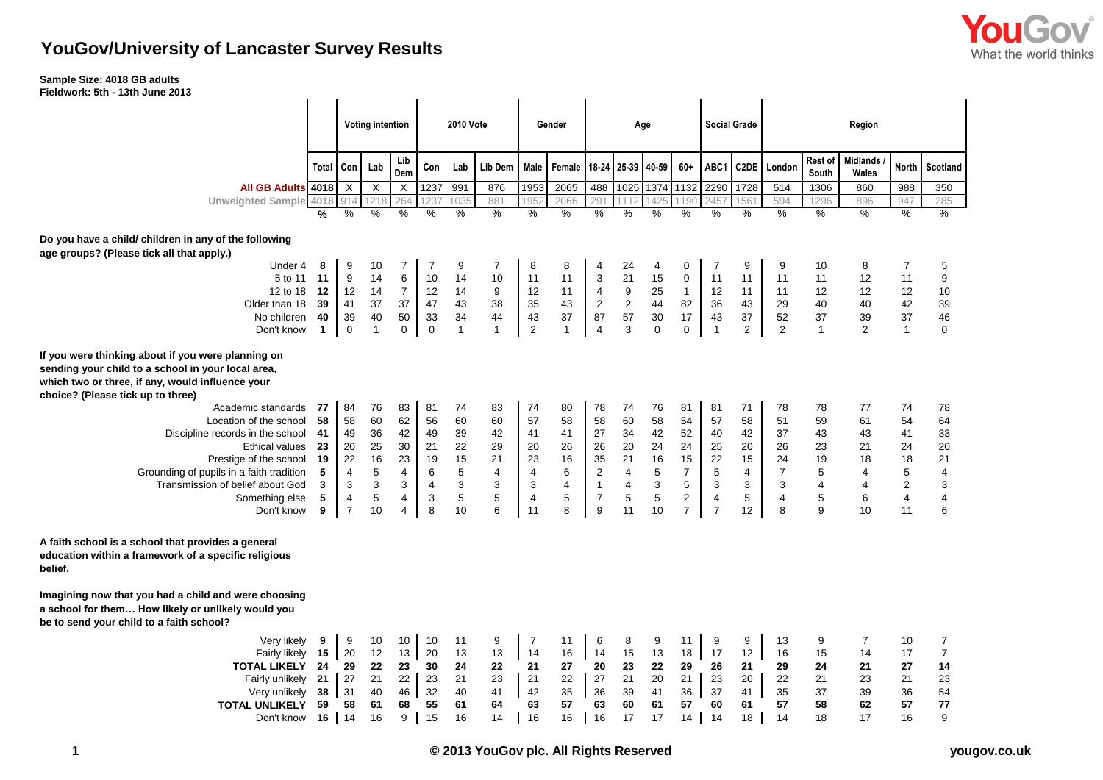

## **YouGov/University of Lancaster Survey Results**

## **Sample Size: 4018 GB adults**

**Fieldwork: 5th - 13th June 2013**

|                                                                                                                                                                                                                                                                                                         |                        | <b>Voting intention</b> |                           |                           | <b>2010 Vote</b>     |                      |                      | Gender               | Age                  |                      |                         |                      | <b>Social Grade</b>     |                      | Region               |                         |                      |                          |                         |                      |  |  |
|---------------------------------------------------------------------------------------------------------------------------------------------------------------------------------------------------------------------------------------------------------------------------------------------------------|------------------------|-------------------------|---------------------------|---------------------------|----------------------|----------------------|----------------------|----------------------|----------------------|----------------------|-------------------------|----------------------|-------------------------|----------------------|----------------------|-------------------------|----------------------|--------------------------|-------------------------|----------------------|--|--|
|                                                                                                                                                                                                                                                                                                         | <b>Total</b>           | Con                     | Lab                       | Lib<br>Dem                | Con                  | Lab                  | Lib Dem              | Male                 | Female               | 18-24                | 25-39                   | 40-59                | $60+$                   | ABC1                 |                      | C2DE London             | Rest of<br>South     | <b>Midlands</b><br>Wales |                         | North Scotland       |  |  |
| All GB Adults 4018                                                                                                                                                                                                                                                                                      |                        | X                       | $\boldsymbol{\mathsf{X}}$ | $\boldsymbol{\mathsf{X}}$ | 1237                 | 991                  | 876                  | 1953                 | 2065                 | 488                  | 1025                    | 1374                 | 1132                    | 2290                 | 1728                 | 514                     | 1306                 | 860                      | 988                     | 350                  |  |  |
| <b>Unweighted Sample</b>                                                                                                                                                                                                                                                                                | 4018                   | 914                     | 21                        | 264                       |                      | 035                  | 881                  | 95                   | 2066                 | 291                  |                         |                      | 1190                    | 245                  | 1561                 | 594                     | 1296                 | 896                      | 947                     | 285                  |  |  |
|                                                                                                                                                                                                                                                                                                         | %                      | %                       | $\%$                      | %                         | %                    | $\frac{0}{0}$        | $\%$                 | %                    | $\%$                 | $\%$                 | %                       | %                    | $\frac{0}{0}$           | $\%$                 | $\frac{0}{0}$        | $\%$                    | %                    | $\%$                     | %                       | $\%$                 |  |  |
| Do you have a child/ children in any of the following<br>age groups? (Please tick all that apply.)                                                                                                                                                                                                      |                        |                         |                           |                           |                      |                      |                      |                      |                      |                      |                         |                      |                         |                      |                      |                         |                      |                          |                         |                      |  |  |
| Under 4                                                                                                                                                                                                                                                                                                 | 8                      | 9                       | 10                        | 7                         | $\overline{7}$       | 9                    | 7                    | 8                    | 8                    | 4                    | 24                      | 4                    | 0                       | $\overline{7}$       | 9                    | 9                       | 10                   | 8                        | $\overline{7}$          | 5                    |  |  |
| 5 to 11                                                                                                                                                                                                                                                                                                 | 11                     | 9                       | 14                        | $\,6\,$                   | 10                   | 14                   | 10                   | 11                   | 11                   | 3                    | 21                      | 15                   | $\mathbf 0$             | 11                   | 11                   | 11                      | 11                   | 12                       | 11                      | 9                    |  |  |
| 12 to 18                                                                                                                                                                                                                                                                                                | 12                     | 12                      | 14                        | $\boldsymbol{7}$          | 12                   | 14                   | 9                    | 12                   | 11                   | 4                    | 9                       | 25                   | $\mathbf{1}$            | 12                   | 11                   | 11                      | 12                   | 12                       | 12                      | 10                   |  |  |
| Older than 18                                                                                                                                                                                                                                                                                           | 39                     | 41                      | 37                        | 37                        | 47                   | 43                   | 38                   | 35                   | 43                   | $\sqrt{2}$           | $\sqrt{2}$              | 44                   | 82                      | 36                   | 43                   | 29                      | 40                   | 40                       | 42                      | 39                   |  |  |
| No children                                                                                                                                                                                                                                                                                             | 40                     | 39                      | 40                        | 50                        | 33                   | 34                   | 44                   | 43                   | 37                   | 87                   | 57                      | 30                   | 17                      | 43                   | 37                   | 52                      | 37                   | 39                       | 37                      | 46                   |  |  |
| Don't know                                                                                                                                                                                                                                                                                              | $\mathbf{1}$           | $\mathbf 0$             | $\mathbf{1}$              | $\mathbf 0$               | $\,0\,$              | $\mathbf{1}$         | $\mathbf{1}$         | $\overline{2}$       | $\mathbf{1}$         | $\overline{4}$       | 3                       | 0                    | $\mathbf 0$             | $\mathbf{1}$         | $\overline{2}$       | $\overline{2}$          | $\mathbf{1}$         | 2                        | $\mathbf{1}$            | $\mathbf 0$          |  |  |
| If you were thinking about if you were planning on<br>sending your child to a school in your local area,<br>which two or three, if any, would influence your<br>choice? (Please tick up to three)<br>Academic standards<br>Location of the school<br>Discipline records in the school<br>Ethical values | 77<br>58<br>41<br>- 23 | 84<br>58<br>49<br>20    | 76<br>60<br>36<br>25      | 83<br>62<br>42<br>30      | 81<br>56<br>49<br>21 | 74<br>60<br>39<br>22 | 83<br>60<br>42<br>29 | 74<br>57<br>41<br>20 | 80<br>58<br>41<br>26 | 78<br>58<br>27<br>26 | 74<br>60<br>34<br>20    | 76<br>58<br>42<br>24 | 81<br>54<br>52<br>24    | 81<br>57<br>40<br>25 | 71<br>58<br>42<br>20 | 78<br>51<br>37<br>26    | 78<br>59<br>43<br>23 | 77<br>61<br>43<br>21     | 74<br>54<br>41<br>24    | 78<br>64<br>33<br>20 |  |  |
| Prestige of the school                                                                                                                                                                                                                                                                                  | 19                     | 22                      | 16                        | 23                        | 19                   | 15                   | 21                   | 23                   | 16                   | 35                   | 21                      | 16                   | 15                      | 22                   | 15                   | 24                      | 19                   | 18                       | 18                      | 21                   |  |  |
| Grounding of pupils in a faith tradition                                                                                                                                                                                                                                                                | 5                      | 4                       | $\,$ 5 $\,$               | $\overline{4}$            | $\,6\,$              | 5                    | 4                    | $\overline{4}$       | 6                    | $\overline{2}$       | $\overline{\mathbf{4}}$ | 5                    | $\overline{7}$          | $\sqrt{5}$           | 4                    | $\overline{7}$          | 5                    | 4                        | 5                       | 4                    |  |  |
| Transmission of belief about God                                                                                                                                                                                                                                                                        | 3                      | 3                       | 3                         | 3                         | $\overline{4}$       | 3                    | 3                    | 3                    | $\overline{4}$       | $\mathbf{1}$         | $\overline{4}$          | 3                    | 5                       | 3                    | 3                    | 3                       | 4                    | $\overline{4}$           | $\overline{2}$          | 3                    |  |  |
| Something else                                                                                                                                                                                                                                                                                          | 5                      | 4                       | $\,$ 5 $\,$               | 4                         | 3                    | 5                    | 5                    | $\overline{4}$       | 5                    | $\boldsymbol{7}$     | 5                       | 5                    | $\overline{\mathbf{c}}$ | 4                    | 5                    | $\overline{\mathbf{4}}$ | 5                    | 6                        | $\overline{\mathbf{4}}$ | 4                    |  |  |
| Don't know                                                                                                                                                                                                                                                                                              | 9                      | $\overline{7}$          | 10                        | 4                         | 8                    | 10                   | 6                    | 11                   | 8                    | 9                    | 11                      | 10                   | $\overline{7}$          | $\overline{7}$       | 12                   | 8                       | 9                    | 10                       | 11                      | 6                    |  |  |
| A faith school is a school that provides a general<br>education within a framework of a specific religious<br>belief.<br>Imagining now that you had a child and were choosing<br>a school for them How likely or unlikely would you<br>be to send your child to a faith school?                         |                        |                         |                           |                           |                      |                      |                      |                      |                      |                      |                         |                      |                         |                      |                      |                         |                      |                          |                         |                      |  |  |
|                                                                                                                                                                                                                                                                                                         |                        |                         |                           |                           |                      |                      |                      |                      |                      |                      |                         |                      |                         |                      |                      |                         |                      |                          |                         |                      |  |  |
| Very likely                                                                                                                                                                                                                                                                                             | 9                      | 9                       | 10                        | 10                        | 10                   | 11                   | 9                    | $\overline{7}$       | 11                   | 6                    | 8                       | 9                    | 11                      | 9                    | 9                    | 13                      | 9                    | 7                        | 10                      | $\overline{7}$       |  |  |
| Fairly likely                                                                                                                                                                                                                                                                                           | 15                     | 20                      | 12                        | 13                        | 20                   | 13                   | 13                   | 14                   | 16                   | 14                   | 15                      | 13                   | 18                      | 17                   | 12                   | 16                      | 15                   | 14                       | 17                      | $\overline{7}$       |  |  |
| <b>TOTAL LIKELY</b>                                                                                                                                                                                                                                                                                     | 24                     | 29                      | 22<br>21                  | 23                        | 30                   | 24<br>21             | 22                   | 21<br>21             | 27<br>22             | 20                   | 23<br>21                | 22<br>20             | 29<br>21                | 26                   | 21<br>20             | 29                      | 24<br>21             | 21<br>23                 | 27<br>21                | 14                   |  |  |
| Fairly unlikely                                                                                                                                                                                                                                                                                         | 21                     | 27                      |                           | 22<br>46                  | 23<br>32             | 40                   | 23                   |                      | 35                   | 27<br>36             |                         |                      |                         | 23<br>37             |                      | 22                      |                      |                          |                         | 23                   |  |  |
| Very unlikely<br><b>TOTAL UNLIKELY</b>                                                                                                                                                                                                                                                                  | 38<br>59               | 31<br>58                | 40<br>61                  | 68                        | 55                   | 61                   | 41<br>64             | 42<br>63             | 57                   | 63                   | 39<br>60                | 41<br>61             | 36<br>57                | 60                   | 41<br>61             | 35<br>57                | 37<br>58             | 39<br>62                 | 36<br>57                | 54<br>77             |  |  |
| Don't know                                                                                                                                                                                                                                                                                              | 16                     | 14                      | 16                        | 9                         | 15                   | 16                   | 14                   | 16                   | 16                   | 16                   | 17                      | 17                   | 14                      | 14                   | 18                   | 14                      | 18                   | 17                       | 16                      | 9                    |  |  |
|                                                                                                                                                                                                                                                                                                         |                        |                         |                           |                           |                      |                      |                      |                      |                      |                      |                         |                      |                         |                      |                      |                         |                      |                          |                         |                      |  |  |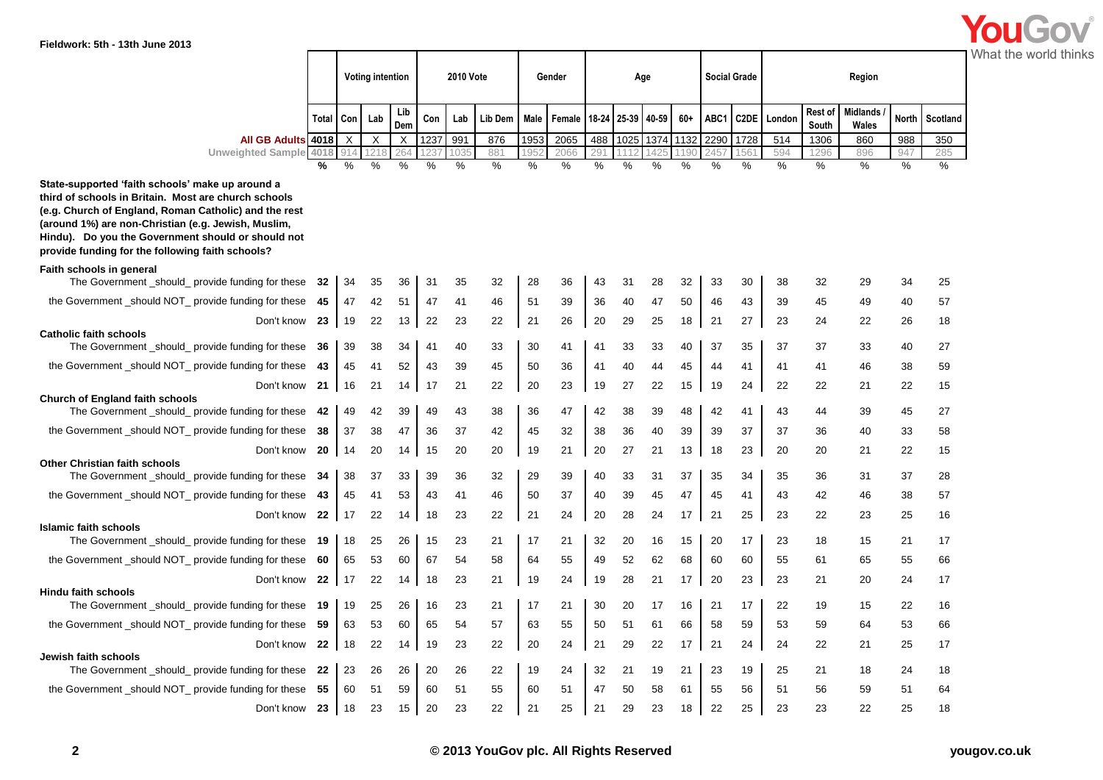| Fieldwork: 5th - 13th June 2013                                                                                                                                                                                                                                                                                                    |              |           |                         |            |          |           |          |          |          |          |          |                   |          |                     |                   |          |                  |                          |              |                       |  |
|------------------------------------------------------------------------------------------------------------------------------------------------------------------------------------------------------------------------------------------------------------------------------------------------------------------------------------|--------------|-----------|-------------------------|------------|----------|-----------|----------|----------|----------|----------|----------|-------------------|----------|---------------------|-------------------|----------|------------------|--------------------------|--------------|-----------------------|--|
|                                                                                                                                                                                                                                                                                                                                    |              |           | <b>Voting intention</b> |            |          | 2010 Vote |          | Gender   |          | Age      |          |                   |          | <b>Social Grade</b> |                   |          |                  | Region                   |              | What the world thinks |  |
|                                                                                                                                                                                                                                                                                                                                    |              | Total Con | Lab                     | Lib<br>Dem | Con      | Lab       | Lib Dem  | Male     | Female   |          |          | 18-24 25-39 40-59 | $60+$    | ABC1                | C <sub>2</sub> DE | London   | Rest of<br>South | <b>Midlands</b><br>Wales | <b>North</b> | Scotland              |  |
| All GB Adults 4018                                                                                                                                                                                                                                                                                                                 |              | X         | X                       | X          | 1237     | 991       | 876      | 1953     | 2065     | 488      |          | 1025 1374         |          | 1132 2290           | 1728              | 514      | 1306             | 860                      | 988          | 350                   |  |
| <b>Unweighted Sample</b>                                                                                                                                                                                                                                                                                                           | 4018         |           |                         |            |          | 103:      | 881      |          | 2066     | 291      |          |                   |          |                     | 561               | 594      | 1296             | 896                      | 947          | 285                   |  |
| State-supported 'faith schools' make up around a<br>third of schools in Britain. Most are church schools<br>(e.g. Church of England, Roman Catholic) and the rest<br>(around 1%) are non-Christian (e.g. Jewish, Muslim,<br>Hindu). Do you the Government should or should not<br>provide funding for the following faith schools? | %            | %         | %                       | %          | %        | %         | %        | %        | %        | %        | %        | %                 | %        | %                   | %                 | %        | %                | %                        | %            | %                     |  |
| Faith schools in general                                                                                                                                                                                                                                                                                                           |              |           |                         |            |          |           |          |          |          |          |          |                   |          |                     |                   |          |                  |                          |              |                       |  |
| The Government _should_ provide funding for these                                                                                                                                                                                                                                                                                  | - 32         | 34        | 35                      | 36         | 31       | 35        | 32       | 28       | 36       | 43       | 31       | 28                | 32       | 33                  | 30                | 38       | 32               | 29                       | 34           | 25                    |  |
| the Government _should NOT_ provide funding for these                                                                                                                                                                                                                                                                              | -45          | 47        | 42                      | 51         | 47       | 41        | 46       | 51       | 39       | 36       | 40       | 47                | 50       | 46                  | 43                | 39       | 45               | 49                       | 40           | 57                    |  |
| Don't know 23<br><b>Catholic faith schools</b><br>The Government _should_ provide funding for these                                                                                                                                                                                                                                |              | 19<br>39  | 22<br>38                | 13<br>34   | 22<br>41 | 23<br>40  | 22<br>33 | 21<br>30 | 26<br>41 | 20       | 29<br>33 | 25<br>33          | 18<br>40 | 21<br>37            | 27<br>35          | 23<br>37 | 24<br>37         | 22<br>33                 | 26<br>40     | 18<br>27              |  |
|                                                                                                                                                                                                                                                                                                                                    | -36          |           |                         |            |          |           |          |          |          | 41       |          |                   |          |                     |                   |          |                  |                          |              |                       |  |
| the Government _should NOT_ provide funding for these                                                                                                                                                                                                                                                                              | - 43         | 45        | 41                      | 52         | 43       | 39        | 45       | 50       | 36       | 41       | 40       | 44                | 45       | 44                  | 41                | 41       | 41               | 46                       | 38           | 59                    |  |
| Don't know<br><b>Church of England faith schools</b><br>The Government _should_ provide funding for these                                                                                                                                                                                                                          | - 21<br>- 42 | 16<br>49  | 21<br>42                | 14<br>39   | 17<br>49 | 21<br>43  | 22<br>38 | 20<br>36 | 23<br>47 | 19<br>42 | 27<br>38 | 22<br>39          | 15<br>48 | 19<br>42            | 24<br>41          | 22<br>43 | 22<br>44         | 21<br>39                 | 22<br>45     | 15<br>27              |  |
| the Government _should NOT_ provide funding for these                                                                                                                                                                                                                                                                              | -38          |           | 38                      | 47         |          |           |          |          |          |          | 36       |                   |          |                     | 37                |          |                  |                          |              |                       |  |
|                                                                                                                                                                                                                                                                                                                                    |              | 37        |                         |            | 36       | 37        | 42       | 45       | 32       | 38       |          | 40                | 39       | 39                  |                   | 37       | 36               | 40                       | 33           | 58                    |  |
| Don't know 20<br><b>Other Christian faith schools</b><br>The Government _should_ provide funding for these 34                                                                                                                                                                                                                      |              | 14<br>38  | 20<br>37                | 14<br>33   | 15<br>39 | 20<br>36  | 20<br>32 | 19<br>29 | 21<br>39 | 20<br>40 | 27<br>33 | 21<br>31          | 13<br>37 | 18<br>35            | 23<br>34          | 20<br>35 | 20<br>36         | 21<br>31                 | 22<br>37     | 15<br>28              |  |
| the Government _should NOT_ provide funding for these                                                                                                                                                                                                                                                                              | -43          | 45        | 41                      | 53         | 43       | 41        | 46       | 50       | 37       | 40       | 39       | 45                | 47       | 45                  | 41                | 43       | 42               | 46                       | 38           | 57                    |  |
| Don't know 22                                                                                                                                                                                                                                                                                                                      |              | 17        | 22                      | 14         | 18       | 23        | 22       | 21       | 24       | 20       | 28       | 24                | 17       | 21                  | 25                | 23       | 22               | 23                       | 25           | 16                    |  |
| <b>Islamic faith schools</b><br>The Government _should_ provide funding for these 19                                                                                                                                                                                                                                               |              | 18        | 25                      | 26         | 15       | 23        | 21       | 17       | 21       | 32       | 20       | 16                | 15       | 20                  | 17                | 23       | 18               | 15                       | 21           | 17                    |  |
| the Government should NOT provide funding for these                                                                                                                                                                                                                                                                                | -60          | 65        | 53                      | 60         | 67       | 54        | 58       | 64       | 55       | 49       | 52       | 62                | 68       | 60                  | 60                | 55       | 61               | 65                       | 55           | 66                    |  |
| Don't know 22                                                                                                                                                                                                                                                                                                                      |              | 17        | 22                      | 14         | 18       | 23        | 21       | 19       | 24       | 19       | 28       | 21                | 17       | 20                  | 23                | 23       | 21               | 20                       | 24           | 17                    |  |
| <b>Hindu faith schools</b>                                                                                                                                                                                                                                                                                                         |              |           |                         |            |          |           |          |          |          |          |          |                   |          |                     |                   |          |                  |                          |              |                       |  |
| The Government _should_ provide funding for these                                                                                                                                                                                                                                                                                  | 19           | 19        | 25                      | 26         | 16       | 23        | 21       | 17       | 21       | 30       | 20       | 17                | 16       | 21                  | 17                | 22       | 19               | 15                       | 22           | 16                    |  |
| the Government _should NOT_ provide funding for these 59                                                                                                                                                                                                                                                                           |              | 63        | 53                      | 60         | 65       | 54        | 57       | 63       | 55       | 50       | 51       | 61                | 66       | 58                  | 59                | 53       | 59               | 64                       | 53           | 66                    |  |
| Don't know 22<br>Jewish faith schools<br>The Government should provide funding for these 22                                                                                                                                                                                                                                        |              | 18<br>23  | 22<br>26                | 14<br>26   | 19<br>20 | 23<br>26  | 22<br>22 | 20<br>19 | 24<br>24 | 21<br>32 | 29<br>21 | 22<br>19          | 17<br>21 | 21<br>23            | 24<br>19          | 24<br>25 | 22<br>21         | 21<br>18                 | 25<br>24     | 17<br>18              |  |
| the Government_should NOT_ provide funding for these 55                                                                                                                                                                                                                                                                            |              | 60        | 51                      | 59         | 60       | 51        | 55       | 60       | 51       | 47       | 50       | 58                | 61       | 55                  | 56                | -51      | 56               | 59                       | 51           | 64                    |  |
| Don't know 23                                                                                                                                                                                                                                                                                                                      |              |           | 18 23                   | 15         | 20       | 23        | 22       | 21       | 25       | 21       | 29       | 23                | 18       | 22                  | 25                | 23       | 23               | 22                       | 25           | 18                    |  |